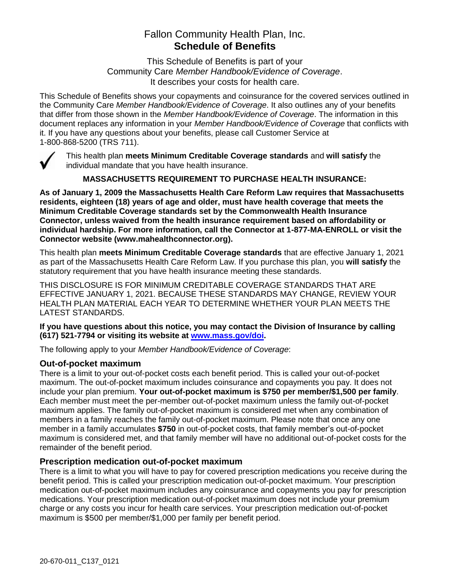# Fallon Community Health Plan, Inc. **Schedule of Benefits**

This Schedule of Benefits is part of your Community Care *Member Handbook/Evidence of Coverage*. It describes your costs for health care.

This Schedule of Benefits shows your copayments and coinsurance for the covered services outlined in the Community Care *Member Handbook/Evidence of Coverage*. It also outlines any of your benefits that differ from those shown in the *Member Handbook/Evidence of Coverage*. The information in this document replaces any information in your *Member Handbook/Evidence of Coverage* that conflicts with it. If you have any questions about your benefits, please call Customer Service at 1-800-868-5200 (TRS 711).



This health plan **meets Minimum Creditable Coverage standards** and **will satisfy** the individual mandate that you have health insurance.

**MASSACHUSETTS REQUIREMENT TO PURCHASE HEALTH INSURANCE:**

**As of January 1, 2009 the Massachusetts Health Care Reform Law requires that Massachusetts residents, eighteen (18) years of age and older, must have health coverage that meets the Minimum Creditable Coverage standards set by the Commonwealth Health Insurance Connector, unless waived from the health insurance requirement based on affordability or individual hardship. For more information, call the Connector at 1-877-MA-ENROLL or visit the Connector website (www.mahealthconnector.org).** 

This health plan **meets Minimum Creditable Coverage standards** that are effective January 1, 2021 as part of the Massachusetts Health Care Reform Law. If you purchase this plan, you **will satisfy** the statutory requirement that you have health insurance meeting these standards.

THIS DISCLOSURE IS FOR MINIMUM CREDITABLE COVERAGE STANDARDS THAT ARE EFFECTIVE JANUARY 1, 2021. BECAUSE THESE STANDARDS MAY CHANGE, REVIEW YOUR HEALTH PLAN MATERIAL EACH YEAR TO DETERMINE WHETHER YOUR PLAN MEETS THE LATEST STANDARDS.

**If you have questions about this notice, you may contact the Division of Insurance by calling (617) 521-7794 or visiting its website at [www.mass.gov/doi.](http://www.mass.gov/doi)** 

The following apply to your *Member Handbook/Evidence of Coverage*:

#### **Out-of-pocket maximum**

There is a limit to your out-of-pocket costs each benefit period. This is called your out-of-pocket maximum. The out-of-pocket maximum includes coinsurance and copayments you pay. It does not include your plan premium. **Your out-of-pocket maximum is \$750 per member/\$1,500 per family**. Each member must meet the per-member out-of-pocket maximum unless the family out-of-pocket maximum applies. The family out-of-pocket maximum is considered met when any combination of members in a family reaches the family out-of-pocket maximum. Please note that once any one member in a family accumulates **\$750** in out-of-pocket costs, that family member's out-of-pocket maximum is considered met, and that family member will have no additional out-of-pocket costs for the remainder of the benefit period.

#### **Prescription medication out-of-pocket maximum**

There is a limit to what you will have to pay for covered prescription medications you receive during the benefit period. This is called your prescription medication out-of-pocket maximum. Your prescription medication out-of-pocket maximum includes any coinsurance and copayments you pay for prescription medications. Your prescription medication out-of-pocket maximum does not include your premium charge or any costs you incur for health care services. Your prescription medication out-of-pocket maximum is \$500 per member/\$1,000 per family per benefit period.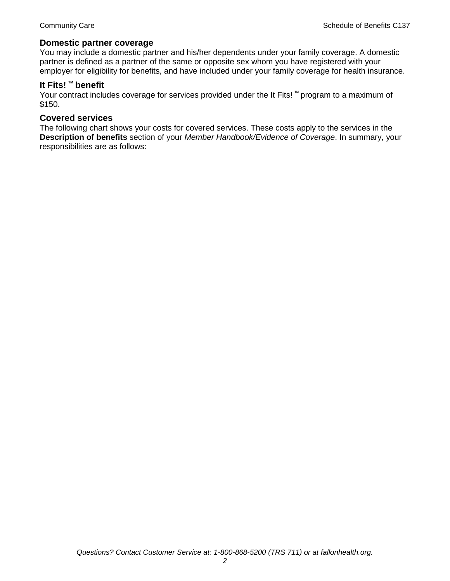#### **Domestic partner coverage**

You may include a domestic partner and his/her dependents under your family coverage. A domestic partner is defined as a partner of the same or opposite sex whom you have registered with your employer for eligibility for benefits, and have included under your family coverage for health insurance.

# **It Fits! ™ benefit**

Your contract includes coverage for services provided under the It Fits! ™ program to a maximum of \$150.

#### **Covered services**

The following chart shows your costs for covered services. These costs apply to the services in the **Description of benefits** section of your *Member Handbook/Evidence of Coverage*. In summary, your responsibilities are as follows: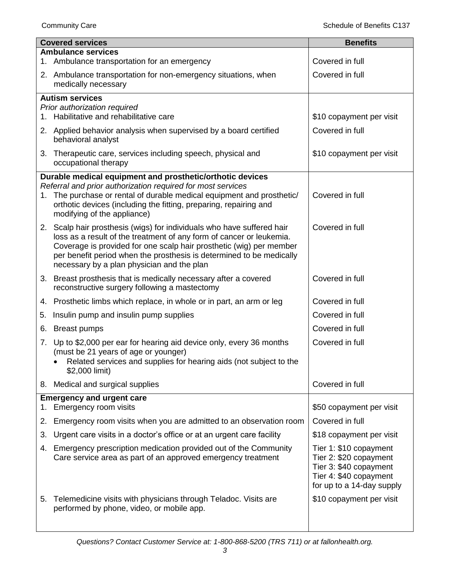|    | <b>Covered services</b>                                                                                                                     | <b>Benefits</b>                                     |
|----|---------------------------------------------------------------------------------------------------------------------------------------------|-----------------------------------------------------|
|    | <b>Ambulance services</b><br>1. Ambulance transportation for an emergency                                                                   | Covered in full                                     |
|    | 2. Ambulance transportation for non-emergency situations, when                                                                              | Covered in full                                     |
|    | medically necessary                                                                                                                         |                                                     |
|    | <b>Autism services</b>                                                                                                                      |                                                     |
| 1. | Prior authorization required<br>Habilitative and rehabilitative care                                                                        | \$10 copayment per visit                            |
|    | 2. Applied behavior analysis when supervised by a board certified                                                                           | Covered in full                                     |
|    | behavioral analyst                                                                                                                          |                                                     |
|    | 3. Therapeutic care, services including speech, physical and<br>occupational therapy                                                        | \$10 copayment per visit                            |
|    | Durable medical equipment and prosthetic/orthotic devices                                                                                   |                                                     |
|    | Referral and prior authorization required for most services<br>1. The purchase or rental of durable medical equipment and prosthetic/       | Covered in full                                     |
|    | orthotic devices (including the fitting, preparing, repairing and<br>modifying of the appliance)                                            |                                                     |
|    | 2. Scalp hair prosthesis (wigs) for individuals who have suffered hair                                                                      | Covered in full                                     |
|    | loss as a result of the treatment of any form of cancer or leukemia.<br>Coverage is provided for one scalp hair prosthetic (wig) per member |                                                     |
|    | per benefit period when the prosthesis is determined to be medically                                                                        |                                                     |
|    | necessary by a plan physician and the plan                                                                                                  |                                                     |
|    | 3. Breast prosthesis that is medically necessary after a covered<br>reconstructive surgery following a mastectomy                           | Covered in full                                     |
|    | 4. Prosthetic limbs which replace, in whole or in part, an arm or leg                                                                       | Covered in full                                     |
| 5. | Insulin pump and insulin pump supplies                                                                                                      | Covered in full                                     |
|    | 6. Breast pumps                                                                                                                             | Covered in full                                     |
|    | 7. Up to \$2,000 per ear for hearing aid device only, every 36 months                                                                       | Covered in full                                     |
|    | (must be 21 years of age or younger)<br>Related services and supplies for hearing aids (not subject to the                                  |                                                     |
|    | \$2,000 limit)                                                                                                                              |                                                     |
|    | 8. Medical and surgical supplies                                                                                                            | Covered in full                                     |
| 1. | <b>Emergency and urgent care</b><br>Emergency room visits                                                                                   | \$50 copayment per visit                            |
| 2. | Emergency room visits when you are admitted to an observation room                                                                          | Covered in full                                     |
| 3. | Urgent care visits in a doctor's office or at an urgent care facility                                                                       | \$18 copayment per visit                            |
|    |                                                                                                                                             |                                                     |
| 4. | Emergency prescription medication provided out of the Community<br>Care service area as part of an approved emergency treatment             | Tier 1: \$10 copayment<br>Tier 2: \$20 copayment    |
|    |                                                                                                                                             | Tier 3: \$40 copayment                              |
|    |                                                                                                                                             | Tier 4: \$40 copayment<br>for up to a 14-day supply |
| 5. | Telemedicine visits with physicians through Teladoc. Visits are                                                                             | \$10 copayment per visit                            |
|    | performed by phone, video, or mobile app.                                                                                                   |                                                     |
|    |                                                                                                                                             |                                                     |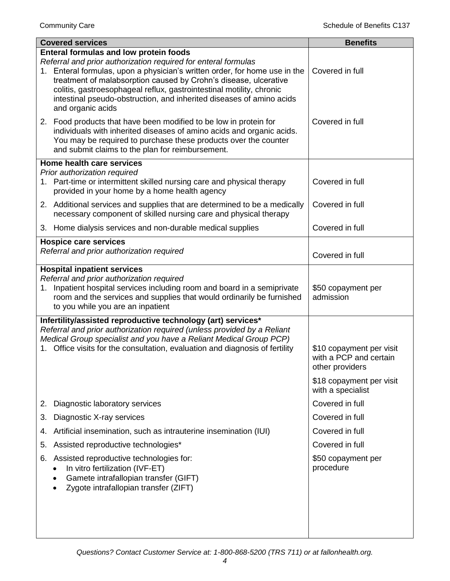| <b>Covered services</b>                                                                                                                                                                                                                                                                                                                                                                                                         | <b>Benefits</b>                                                       |
|---------------------------------------------------------------------------------------------------------------------------------------------------------------------------------------------------------------------------------------------------------------------------------------------------------------------------------------------------------------------------------------------------------------------------------|-----------------------------------------------------------------------|
| Enteral formulas and low protein foods<br>Referral and prior authorization required for enteral formulas<br>1. Enteral formulas, upon a physician's written order, for home use in the<br>treatment of malabsorption caused by Crohn's disease, ulcerative<br>colitis, gastroesophageal reflux, gastrointestinal motility, chronic<br>intestinal pseudo-obstruction, and inherited diseases of amino acids<br>and organic acids | Covered in full                                                       |
| 2. Food products that have been modified to be low in protein for<br>individuals with inherited diseases of amino acids and organic acids.<br>You may be required to purchase these products over the counter<br>and submit claims to the plan for reimbursement.                                                                                                                                                               | Covered in full                                                       |
| Home health care services                                                                                                                                                                                                                                                                                                                                                                                                       |                                                                       |
| Prior authorization required<br>1. Part-time or intermittent skilled nursing care and physical therapy<br>provided in your home by a home health agency                                                                                                                                                                                                                                                                         | Covered in full                                                       |
| 2. Additional services and supplies that are determined to be a medically<br>necessary component of skilled nursing care and physical therapy                                                                                                                                                                                                                                                                                   | Covered in full                                                       |
| 3. Home dialysis services and non-durable medical supplies                                                                                                                                                                                                                                                                                                                                                                      | Covered in full                                                       |
| <b>Hospice care services</b>                                                                                                                                                                                                                                                                                                                                                                                                    |                                                                       |
| Referral and prior authorization required                                                                                                                                                                                                                                                                                                                                                                                       | Covered in full                                                       |
| <b>Hospital inpatient services</b>                                                                                                                                                                                                                                                                                                                                                                                              |                                                                       |
| Referral and prior authorization required<br>Inpatient hospital services including room and board in a semiprivate<br>1.<br>room and the services and supplies that would ordinarily be furnished<br>to you while you are an inpatient                                                                                                                                                                                          | \$50 copayment per<br>admission                                       |
| Infertility/assisted reproductive technology (art) services*                                                                                                                                                                                                                                                                                                                                                                    |                                                                       |
| Referral and prior authorization required (unless provided by a Reliant                                                                                                                                                                                                                                                                                                                                                         |                                                                       |
| Medical Group specialist and you have a Reliant Medical Group PCP)<br>1. Office visits for the consultation, evaluation and diagnosis of fertility                                                                                                                                                                                                                                                                              | \$10 copayment per visit<br>with a PCP and certain<br>other providers |
|                                                                                                                                                                                                                                                                                                                                                                                                                                 | \$18 copayment per visit<br>with a specialist                         |
| Diagnostic laboratory services<br>2.                                                                                                                                                                                                                                                                                                                                                                                            | Covered in full                                                       |
| Diagnostic X-ray services<br>3.                                                                                                                                                                                                                                                                                                                                                                                                 | Covered in full                                                       |
| Artificial insemination, such as intrauterine insemination (IUI)<br>4.                                                                                                                                                                                                                                                                                                                                                          | Covered in full                                                       |
| Assisted reproductive technologies*<br>5.                                                                                                                                                                                                                                                                                                                                                                                       | Covered in full                                                       |
| Assisted reproductive technologies for:<br>6.                                                                                                                                                                                                                                                                                                                                                                                   | \$50 copayment per                                                    |
| In vitro fertilization (IVF-ET)<br>Gamete intrafallopian transfer (GIFT)<br>Zygote intrafallopian transfer (ZIFT)                                                                                                                                                                                                                                                                                                               | procedure                                                             |
|                                                                                                                                                                                                                                                                                                                                                                                                                                 |                                                                       |
|                                                                                                                                                                                                                                                                                                                                                                                                                                 |                                                                       |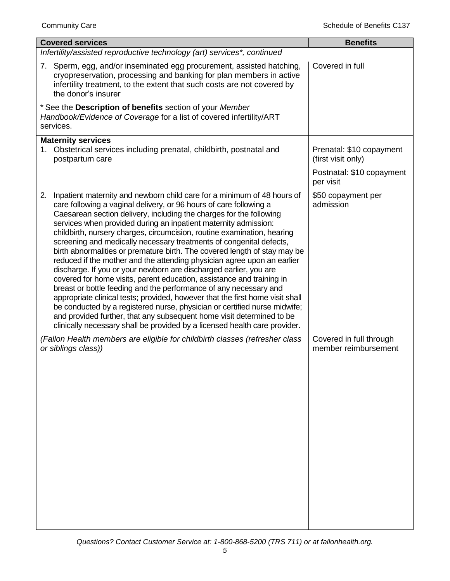| <b>Covered services</b>                                                                                                                                                                                                                                                                                                                                                                                                                                                                                                                                                                                                                                                                                                                                                                                                                                                                                                                                                                                                                                                                                                                         | <b>Benefits</b>                                 |
|-------------------------------------------------------------------------------------------------------------------------------------------------------------------------------------------------------------------------------------------------------------------------------------------------------------------------------------------------------------------------------------------------------------------------------------------------------------------------------------------------------------------------------------------------------------------------------------------------------------------------------------------------------------------------------------------------------------------------------------------------------------------------------------------------------------------------------------------------------------------------------------------------------------------------------------------------------------------------------------------------------------------------------------------------------------------------------------------------------------------------------------------------|-------------------------------------------------|
| Infertility/assisted reproductive technology (art) services*, continued                                                                                                                                                                                                                                                                                                                                                                                                                                                                                                                                                                                                                                                                                                                                                                                                                                                                                                                                                                                                                                                                         |                                                 |
| 7. Sperm, egg, and/or inseminated egg procurement, assisted hatching,<br>cryopreservation, processing and banking for plan members in active<br>infertility treatment, to the extent that such costs are not covered by<br>the donor's insurer                                                                                                                                                                                                                                                                                                                                                                                                                                                                                                                                                                                                                                                                                                                                                                                                                                                                                                  | Covered in full                                 |
| * See the Description of benefits section of your Member<br>Handbook/Evidence of Coverage for a list of covered infertility/ART<br>services.                                                                                                                                                                                                                                                                                                                                                                                                                                                                                                                                                                                                                                                                                                                                                                                                                                                                                                                                                                                                    |                                                 |
| <b>Maternity services</b><br>Obstetrical services including prenatal, childbirth, postnatal and<br>1.<br>postpartum care                                                                                                                                                                                                                                                                                                                                                                                                                                                                                                                                                                                                                                                                                                                                                                                                                                                                                                                                                                                                                        | Prenatal: \$10 copayment<br>(first visit only)  |
|                                                                                                                                                                                                                                                                                                                                                                                                                                                                                                                                                                                                                                                                                                                                                                                                                                                                                                                                                                                                                                                                                                                                                 | Postnatal: \$10 copayment<br>per visit          |
| Inpatient maternity and newborn child care for a minimum of 48 hours of<br>2.<br>care following a vaginal delivery, or 96 hours of care following a<br>Caesarean section delivery, including the charges for the following<br>services when provided during an inpatient maternity admission:<br>childbirth, nursery charges, circumcision, routine examination, hearing<br>screening and medically necessary treatments of congenital defects,<br>birth abnormalities or premature birth. The covered length of stay may be<br>reduced if the mother and the attending physician agree upon an earlier<br>discharge. If you or your newborn are discharged earlier, you are<br>covered for home visits, parent education, assistance and training in<br>breast or bottle feeding and the performance of any necessary and<br>appropriate clinical tests; provided, however that the first home visit shall<br>be conducted by a registered nurse, physician or certified nurse midwife;<br>and provided further, that any subsequent home visit determined to be<br>clinically necessary shall be provided by a licensed health care provider. | \$50 copayment per<br>admission                 |
| (Fallon Health members are eligible for childbirth classes (refresher class<br>or siblings class))                                                                                                                                                                                                                                                                                                                                                                                                                                                                                                                                                                                                                                                                                                                                                                                                                                                                                                                                                                                                                                              | Covered in full through<br>member reimbursement |
|                                                                                                                                                                                                                                                                                                                                                                                                                                                                                                                                                                                                                                                                                                                                                                                                                                                                                                                                                                                                                                                                                                                                                 |                                                 |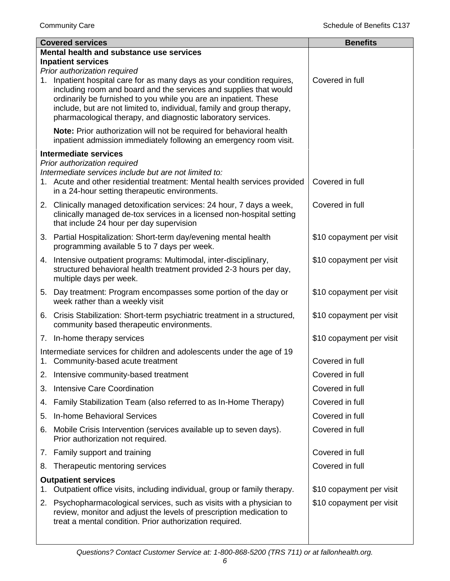|    | <b>Covered services</b>                                                                                                                                                                                                                                                                                                                                 | <b>Benefits</b>          |
|----|---------------------------------------------------------------------------------------------------------------------------------------------------------------------------------------------------------------------------------------------------------------------------------------------------------------------------------------------------------|--------------------------|
|    | Mental health and substance use services                                                                                                                                                                                                                                                                                                                |                          |
|    | <b>Inpatient services</b><br>Prior authorization required                                                                                                                                                                                                                                                                                               |                          |
| 1. | Inpatient hospital care for as many days as your condition requires,<br>including room and board and the services and supplies that would<br>ordinarily be furnished to you while you are an inpatient. These<br>include, but are not limited to, individual, family and group therapy,<br>pharmacological therapy, and diagnostic laboratory services. | Covered in full          |
|    | Note: Prior authorization will not be required for behavioral health<br>inpatient admission immediately following an emergency room visit.                                                                                                                                                                                                              |                          |
|    | <b>Intermediate services</b>                                                                                                                                                                                                                                                                                                                            |                          |
|    | Prior authorization required<br>Intermediate services include but are not limited to:<br>1. Acute and other residential treatment: Mental health services provided<br>in a 24-hour setting therapeutic environments.                                                                                                                                    | Covered in full          |
|    | 2. Clinically managed detoxification services: 24 hour, 7 days a week,<br>clinically managed de-tox services in a licensed non-hospital setting<br>that include 24 hour per day supervision                                                                                                                                                             | Covered in full          |
|    | 3. Partial Hospitalization: Short-term day/evening mental health<br>programming available 5 to 7 days per week.                                                                                                                                                                                                                                         | \$10 copayment per visit |
|    | 4. Intensive outpatient programs: Multimodal, inter-disciplinary,<br>structured behavioral health treatment provided 2-3 hours per day,<br>multiple days per week.                                                                                                                                                                                      | \$10 copayment per visit |
|    | 5. Day treatment: Program encompasses some portion of the day or<br>week rather than a weekly visit                                                                                                                                                                                                                                                     | \$10 copayment per visit |
|    | 6. Crisis Stabilization: Short-term psychiatric treatment in a structured,<br>community based therapeutic environments.                                                                                                                                                                                                                                 | \$10 copayment per visit |
|    | 7. In-home therapy services                                                                                                                                                                                                                                                                                                                             | \$10 copayment per visit |
|    | Intermediate services for children and adolescents under the age of 19<br>1. Community-based acute treatment                                                                                                                                                                                                                                            | Covered in full          |
|    | 2. Intensive community-based treatment                                                                                                                                                                                                                                                                                                                  | Covered in full          |
| 3. | <b>Intensive Care Coordination</b>                                                                                                                                                                                                                                                                                                                      | Covered in full          |
| 4. | Family Stabilization Team (also referred to as In-Home Therapy)                                                                                                                                                                                                                                                                                         | Covered in full          |
| 5. | In-home Behavioral Services                                                                                                                                                                                                                                                                                                                             | Covered in full          |
| 6. | Mobile Crisis Intervention (services available up to seven days).<br>Prior authorization not required.                                                                                                                                                                                                                                                  | Covered in full          |
|    | 7. Family support and training                                                                                                                                                                                                                                                                                                                          | Covered in full          |
| 8. | Therapeutic mentoring services                                                                                                                                                                                                                                                                                                                          | Covered in full          |
| 1. | <b>Outpatient services</b><br>Outpatient office visits, including individual, group or family therapy.                                                                                                                                                                                                                                                  | \$10 copayment per visit |
| 2. | Psychopharmacological services, such as visits with a physician to<br>review, monitor and adjust the levels of prescription medication to<br>treat a mental condition. Prior authorization required.                                                                                                                                                    | \$10 copayment per visit |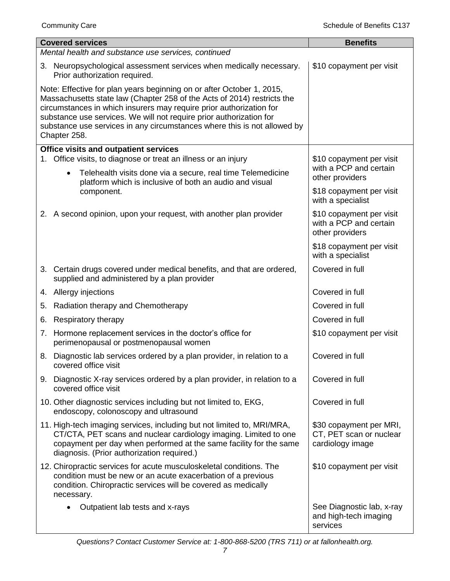| <b>Covered services</b> |                                                                                                                                                                                                                                                                                                                                                                            | <b>Benefits</b>                                                        |
|-------------------------|----------------------------------------------------------------------------------------------------------------------------------------------------------------------------------------------------------------------------------------------------------------------------------------------------------------------------------------------------------------------------|------------------------------------------------------------------------|
|                         | Mental health and substance use services, continued                                                                                                                                                                                                                                                                                                                        |                                                                        |
|                         | 3. Neuropsychological assessment services when medically necessary.<br>Prior authorization required.                                                                                                                                                                                                                                                                       | \$10 copayment per visit                                               |
| Chapter 258.            | Note: Effective for plan years beginning on or after October 1, 2015,<br>Massachusetts state law (Chapter 258 of the Acts of 2014) restricts the<br>circumstances in which insurers may require prior authorization for<br>substance use services. We will not require prior authorization for<br>substance use services in any circumstances where this is not allowed by |                                                                        |
|                         | <b>Office visits and outpatient services</b>                                                                                                                                                                                                                                                                                                                               |                                                                        |
| $\bullet$               | 1. Office visits, to diagnose or treat an illness or an injury<br>Telehealth visits done via a secure, real time Telemedicine<br>platform which is inclusive of both an audio and visual                                                                                                                                                                                   | \$10 copayment per visit<br>with a PCP and certain<br>other providers  |
|                         | component.                                                                                                                                                                                                                                                                                                                                                                 | \$18 copayment per visit<br>with a specialist                          |
|                         | 2. A second opinion, upon your request, with another plan provider                                                                                                                                                                                                                                                                                                         | \$10 copayment per visit<br>with a PCP and certain<br>other providers  |
|                         |                                                                                                                                                                                                                                                                                                                                                                            | \$18 copayment per visit<br>with a specialist                          |
|                         | 3. Certain drugs covered under medical benefits, and that are ordered,<br>supplied and administered by a plan provider                                                                                                                                                                                                                                                     | Covered in full                                                        |
| 4. Allergy injections   |                                                                                                                                                                                                                                                                                                                                                                            | Covered in full                                                        |
| 5.                      | Radiation therapy and Chemotherapy                                                                                                                                                                                                                                                                                                                                         | Covered in full                                                        |
| 6.                      | Respiratory therapy                                                                                                                                                                                                                                                                                                                                                        | Covered in full                                                        |
|                         | 7. Hormone replacement services in the doctor's office for<br>perimenopausal or postmenopausal women                                                                                                                                                                                                                                                                       | \$10 copayment per visit                                               |
|                         | 8. Diagnostic lab services ordered by a plan provider, in relation to a<br>covered office visit                                                                                                                                                                                                                                                                            | Covered in full                                                        |
|                         | 9. Diagnostic X-ray services ordered by a plan provider, in relation to a<br>covered office visit                                                                                                                                                                                                                                                                          | Covered in full                                                        |
|                         | 10. Other diagnostic services including but not limited to, EKG,<br>endoscopy, colonoscopy and ultrasound                                                                                                                                                                                                                                                                  | Covered in full                                                        |
|                         | 11. High-tech imaging services, including but not limited to, MRI/MRA,<br>CT/CTA, PET scans and nuclear cardiology imaging. Limited to one<br>copayment per day when performed at the same facility for the same<br>diagnosis. (Prior authorization required.)                                                                                                             | \$30 copayment per MRI,<br>CT, PET scan or nuclear<br>cardiology image |
| necessary.              | 12. Chiropractic services for acute musculoskeletal conditions. The<br>condition must be new or an acute exacerbation of a previous<br>condition. Chiropractic services will be covered as medically                                                                                                                                                                       | \$10 copayment per visit                                               |
|                         | Outpatient lab tests and x-rays                                                                                                                                                                                                                                                                                                                                            | See Diagnostic lab, x-ray<br>and high-tech imaging<br>services         |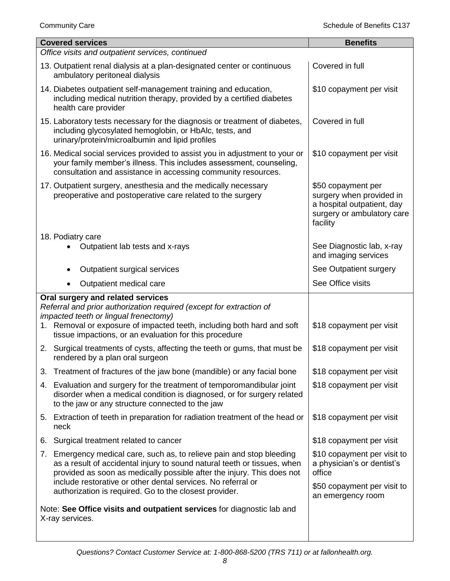| <b>Covered services</b>                                                                                                                                                                                                                                                                                                                               | <b>Benefits</b>                                                                                                        |
|-------------------------------------------------------------------------------------------------------------------------------------------------------------------------------------------------------------------------------------------------------------------------------------------------------------------------------------------------------|------------------------------------------------------------------------------------------------------------------------|
| Office visits and outpatient services, continued                                                                                                                                                                                                                                                                                                      |                                                                                                                        |
| 13. Outpatient renal dialysis at a plan-designated center or continuous<br>ambulatory peritoneal dialysis                                                                                                                                                                                                                                             | Covered in full                                                                                                        |
| 14. Diabetes outpatient self-management training and education,<br>including medical nutrition therapy, provided by a certified diabetes<br>health care provider                                                                                                                                                                                      | \$10 copayment per visit                                                                                               |
| 15. Laboratory tests necessary for the diagnosis or treatment of diabetes,<br>including glycosylated hemoglobin, or HbAlc, tests, and<br>urinary/protein/microalbumin and lipid profiles                                                                                                                                                              | Covered in full                                                                                                        |
| 16. Medical social services provided to assist you in adjustment to your or<br>your family member's illness. This includes assessment, counseling,<br>consultation and assistance in accessing community resources.                                                                                                                                   | \$10 copayment per visit                                                                                               |
| 17. Outpatient surgery, anesthesia and the medically necessary<br>preoperative and postoperative care related to the surgery                                                                                                                                                                                                                          | \$50 copayment per<br>surgery when provided in<br>a hospital outpatient, day<br>surgery or ambulatory care<br>facility |
| 18. Podiatry care<br>Outpatient lab tests and x-rays                                                                                                                                                                                                                                                                                                  | See Diagnostic lab, x-ray<br>and imaging services                                                                      |
| Outpatient surgical services<br>٠                                                                                                                                                                                                                                                                                                                     | See Outpatient surgery                                                                                                 |
| Outpatient medical care<br>$\bullet$                                                                                                                                                                                                                                                                                                                  | See Office visits                                                                                                      |
| Oral surgery and related services<br>Referral and prior authorization required (except for extraction of<br>impacted teeth or lingual frenectomy)<br>1. Removal or exposure of impacted teeth, including both hard and soft<br>tissue impactions, or an evaluation for this procedure                                                                 | \$18 copayment per visit                                                                                               |
| 2. Surgical treatments of cysts, affecting the teeth or gums, that must be<br>rendered by a plan oral surgeon                                                                                                                                                                                                                                         | \$18 copayment per visit                                                                                               |
| 3. Treatment of fractures of the jaw bone (mandible) or any facial bone                                                                                                                                                                                                                                                                               | \$18 copayment per visit                                                                                               |
| 4. Evaluation and surgery for the treatment of temporomandibular joint<br>disorder when a medical condition is diagnosed, or for surgery related<br>to the jaw or any structure connected to the jaw                                                                                                                                                  | \$18 copayment per visit                                                                                               |
| 5. Extraction of teeth in preparation for radiation treatment of the head or<br>neck                                                                                                                                                                                                                                                                  | \$18 copayment per visit                                                                                               |
| Surgical treatment related to cancer<br>6.                                                                                                                                                                                                                                                                                                            | \$18 copayment per visit                                                                                               |
| 7. Emergency medical care, such as, to relieve pain and stop bleeding<br>as a result of accidental injury to sound natural teeth or tissues, when<br>provided as soon as medically possible after the injury. This does not<br>include restorative or other dental services. No referral or<br>authorization is required. Go to the closest provider. | \$10 copayment per visit to<br>a physician's or dentist's<br>office<br>\$50 copayment per visit to                     |
| Note: See Office visits and outpatient services for diagnostic lab and<br>X-ray services.                                                                                                                                                                                                                                                             | an emergency room                                                                                                      |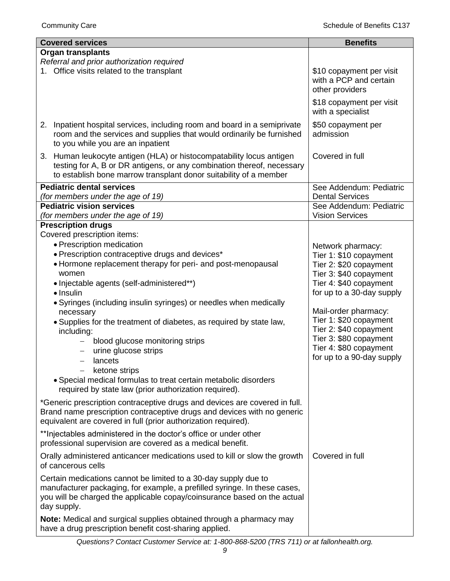| <b>Covered services</b>                                                                                                                                                                                                                                                                                                                                                                                                                                                                                                                                                                                                                                                   | <b>Benefits</b>                                                                                                                                                                                                                                                                                                     |
|---------------------------------------------------------------------------------------------------------------------------------------------------------------------------------------------------------------------------------------------------------------------------------------------------------------------------------------------------------------------------------------------------------------------------------------------------------------------------------------------------------------------------------------------------------------------------------------------------------------------------------------------------------------------------|---------------------------------------------------------------------------------------------------------------------------------------------------------------------------------------------------------------------------------------------------------------------------------------------------------------------|
| <b>Organ transplants</b>                                                                                                                                                                                                                                                                                                                                                                                                                                                                                                                                                                                                                                                  |                                                                                                                                                                                                                                                                                                                     |
| Referral and prior authorization required<br>1. Office visits related to the transplant                                                                                                                                                                                                                                                                                                                                                                                                                                                                                                                                                                                   | \$10 copayment per visit<br>with a PCP and certain<br>other providers                                                                                                                                                                                                                                               |
|                                                                                                                                                                                                                                                                                                                                                                                                                                                                                                                                                                                                                                                                           | \$18 copayment per visit<br>with a specialist                                                                                                                                                                                                                                                                       |
| Inpatient hospital services, including room and board in a semiprivate<br>2.<br>room and the services and supplies that would ordinarily be furnished<br>to you while you are an inpatient                                                                                                                                                                                                                                                                                                                                                                                                                                                                                | \$50 copayment per<br>admission                                                                                                                                                                                                                                                                                     |
| 3. Human leukocyte antigen (HLA) or histocompatability locus antigen<br>testing for A, B or DR antigens, or any combination thereof, necessary<br>to establish bone marrow transplant donor suitability of a member                                                                                                                                                                                                                                                                                                                                                                                                                                                       | Covered in full                                                                                                                                                                                                                                                                                                     |
| <b>Pediatric dental services</b><br>(for members under the age of 19)                                                                                                                                                                                                                                                                                                                                                                                                                                                                                                                                                                                                     | See Addendum: Pediatric<br><b>Dental Services</b>                                                                                                                                                                                                                                                                   |
| <b>Pediatric vision services</b><br>(for members under the age of 19)                                                                                                                                                                                                                                                                                                                                                                                                                                                                                                                                                                                                     | See Addendum: Pediatric<br><b>Vision Services</b>                                                                                                                                                                                                                                                                   |
| <b>Prescription drugs</b><br>Covered prescription items:<br>• Prescription medication<br>• Prescription contraceptive drugs and devices*<br>• Hormone replacement therapy for peri- and post-menopausal<br>women<br>• Injectable agents (self-administered**)<br>• Insulin<br>• Syringes (including insulin syringes) or needles when medically<br>necessary<br>. Supplies for the treatment of diabetes, as required by state law,<br>including:<br>blood glucose monitoring strips<br>urine glucose strips<br>lancets<br>-<br>ketone strips<br>• Special medical formulas to treat certain metabolic disorders<br>required by state law (prior authorization required). | Network pharmacy:<br>Tier 1: \$10 copayment<br>Tier 2: \$20 copayment<br>Tier 3: \$40 copayment<br>Tier 4: \$40 copayment<br>for up to a 30-day supply<br>Mail-order pharmacy:<br>Tier 1: \$20 copayment<br>Tier 2: \$40 copayment<br>Tier 3: \$80 copayment<br>Tier 4: \$80 copayment<br>for up to a 90-day supply |
| *Generic prescription contraceptive drugs and devices are covered in full.<br>Brand name prescription contraceptive drugs and devices with no generic<br>equivalent are covered in full (prior authorization required).<br>** Injectables administered in the doctor's office or under other<br>professional supervision are covered as a medical benefit.                                                                                                                                                                                                                                                                                                                |                                                                                                                                                                                                                                                                                                                     |
| Orally administered anticancer medications used to kill or slow the growth<br>of cancerous cells                                                                                                                                                                                                                                                                                                                                                                                                                                                                                                                                                                          | Covered in full                                                                                                                                                                                                                                                                                                     |
| Certain medications cannot be limited to a 30-day supply due to<br>manufacturer packaging, for example, a prefilled syringe. In these cases,<br>you will be charged the applicable copay/coinsurance based on the actual<br>day supply.                                                                                                                                                                                                                                                                                                                                                                                                                                   |                                                                                                                                                                                                                                                                                                                     |
| Note: Medical and surgical supplies obtained through a pharmacy may<br>have a drug prescription benefit cost-sharing applied.                                                                                                                                                                                                                                                                                                                                                                                                                                                                                                                                             |                                                                                                                                                                                                                                                                                                                     |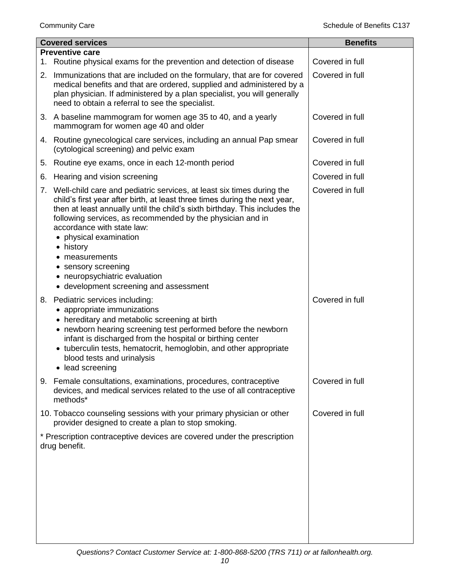|    | <b>Covered services</b>                                                                                                                                                                                                                                                                                                                                                                                                                                                                     | <b>Benefits</b> |
|----|---------------------------------------------------------------------------------------------------------------------------------------------------------------------------------------------------------------------------------------------------------------------------------------------------------------------------------------------------------------------------------------------------------------------------------------------------------------------------------------------|-----------------|
|    | <b>Preventive care</b>                                                                                                                                                                                                                                                                                                                                                                                                                                                                      |                 |
| 1. | Routine physical exams for the prevention and detection of disease                                                                                                                                                                                                                                                                                                                                                                                                                          | Covered in full |
| 2. | Immunizations that are included on the formulary, that are for covered<br>medical benefits and that are ordered, supplied and administered by a<br>plan physician. If administered by a plan specialist, you will generally<br>need to obtain a referral to see the specialist.                                                                                                                                                                                                             | Covered in full |
|    | 3. A baseline mammogram for women age 35 to 40, and a yearly<br>mammogram for women age 40 and older                                                                                                                                                                                                                                                                                                                                                                                        | Covered in full |
|    | 4. Routine gynecological care services, including an annual Pap smear<br>(cytological screening) and pelvic exam                                                                                                                                                                                                                                                                                                                                                                            | Covered in full |
| 5. | Routine eye exams, once in each 12-month period                                                                                                                                                                                                                                                                                                                                                                                                                                             | Covered in full |
| 6. | Hearing and vision screening                                                                                                                                                                                                                                                                                                                                                                                                                                                                | Covered in full |
|    | 7. Well-child care and pediatric services, at least six times during the<br>child's first year after birth, at least three times during the next year,<br>then at least annually until the child's sixth birthday. This includes the<br>following services, as recommended by the physician and in<br>accordance with state law:<br>• physical examination<br>• history<br>• measurements<br>• sensory screening<br>• neuropsychiatric evaluation<br>• development screening and assessment | Covered in full |
| 8. | Pediatric services including:<br>• appropriate immunizations<br>• hereditary and metabolic screening at birth<br>• newborn hearing screening test performed before the newborn<br>infant is discharged from the hospital or birthing center<br>• tuberculin tests, hematocrit, hemoglobin, and other appropriate<br>blood tests and urinalysis<br>• lead screening                                                                                                                          | Covered in full |
|    | 9. Female consultations, examinations, procedures, contraceptive<br>devices, and medical services related to the use of all contraceptive<br>methods*                                                                                                                                                                                                                                                                                                                                       | Covered in full |
|    | 10. Tobacco counseling sessions with your primary physician or other<br>provider designed to create a plan to stop smoking.                                                                                                                                                                                                                                                                                                                                                                 | Covered in full |
|    | * Prescription contraceptive devices are covered under the prescription<br>drug benefit.                                                                                                                                                                                                                                                                                                                                                                                                    |                 |
|    |                                                                                                                                                                                                                                                                                                                                                                                                                                                                                             |                 |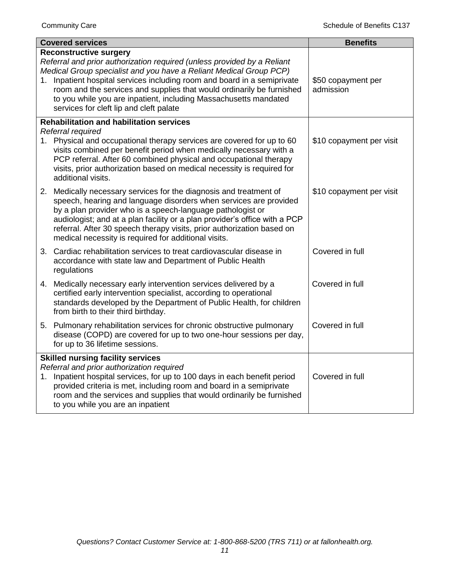| <b>Covered services</b>                                                                                                                                                                                                                                                                                                                                                                                                                               | <b>Benefits</b>                 |
|-------------------------------------------------------------------------------------------------------------------------------------------------------------------------------------------------------------------------------------------------------------------------------------------------------------------------------------------------------------------------------------------------------------------------------------------------------|---------------------------------|
| <b>Reconstructive surgery</b><br>Referral and prior authorization required (unless provided by a Reliant<br>Medical Group specialist and you have a Reliant Medical Group PCP)<br>Inpatient hospital services including room and board in a semiprivate<br>1.<br>room and the services and supplies that would ordinarily be furnished<br>to you while you are inpatient, including Massachusetts mandated<br>services for cleft lip and cleft palate | \$50 copayment per<br>admission |
| <b>Rehabilitation and habilitation services</b><br>Referral required<br>1. Physical and occupational therapy services are covered for up to 60<br>visits combined per benefit period when medically necessary with a<br>PCP referral. After 60 combined physical and occupational therapy<br>visits, prior authorization based on medical necessity is required for<br>additional visits.                                                             | \$10 copayment per visit        |
| 2. Medically necessary services for the diagnosis and treatment of<br>speech, hearing and language disorders when services are provided<br>by a plan provider who is a speech-language pathologist or<br>audiologist; and at a plan facility or a plan provider's office with a PCP<br>referral. After 30 speech therapy visits, prior authorization based on<br>medical necessity is required for additional visits.                                 | \$10 copayment per visit        |
| 3. Cardiac rehabilitation services to treat cardiovascular disease in<br>accordance with state law and Department of Public Health<br>regulations                                                                                                                                                                                                                                                                                                     | Covered in full                 |
| 4. Medically necessary early intervention services delivered by a<br>certified early intervention specialist, according to operational<br>standards developed by the Department of Public Health, for children<br>from birth to their third birthday.                                                                                                                                                                                                 | Covered in full                 |
| 5. Pulmonary rehabilitation services for chronic obstructive pulmonary<br>disease (COPD) are covered for up to two one-hour sessions per day,<br>for up to 36 lifetime sessions.                                                                                                                                                                                                                                                                      | Covered in full                 |
| <b>Skilled nursing facility services</b><br>Referral and prior authorization required<br>1. Inpatient hospital services, for up to 100 days in each benefit period<br>provided criteria is met, including room and board in a semiprivate<br>room and the services and supplies that would ordinarily be furnished<br>to you while you are an inpatient                                                                                               | Covered in full                 |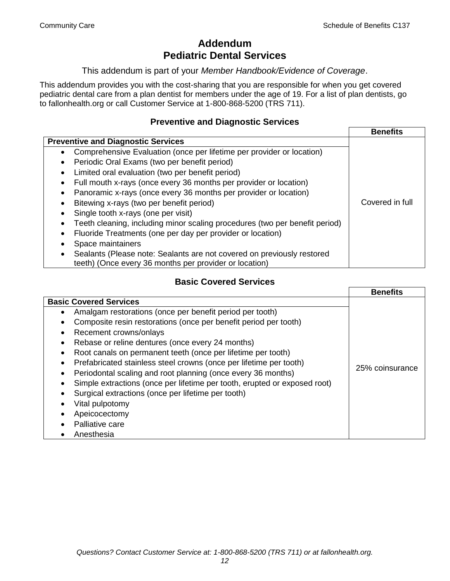# **Addendum Pediatric Dental Services**

This addendum is part of your *Member Handbook/Evidence of Coverage*.

This addendum provides you with the cost-sharing that you are responsible for when you get covered pediatric dental care from a plan dentist for members under the age of 19. For a list of plan dentists, go to fallonhealth.org or call Customer Service at 1-800-868-5200 (TRS 711).

### **Preventive and Diagnostic Services**

|                                                                             | <b>Benefits</b> |
|-----------------------------------------------------------------------------|-----------------|
| <b>Preventive and Diagnostic Services</b>                                   |                 |
| Comprehensive Evaluation (once per lifetime per provider or location)       |                 |
| Periodic Oral Exams (two per benefit period)                                |                 |
| Limited oral evaluation (two per benefit period)                            |                 |
| Full mouth x-rays (once every 36 months per provider or location)           |                 |
| Panoramic x-rays (once every 36 months per provider or location)            |                 |
| Bitewing x-rays (two per benefit period)                                    | Covered in full |
| Single tooth x-rays (one per visit)                                         |                 |
| Teeth cleaning, including minor scaling procedures (two per benefit period) |                 |
| Fluoride Treatments (one per day per provider or location)                  |                 |
| Space maintainers                                                           |                 |
| Sealants (Please note: Sealants are not covered on previously restored      |                 |
| teeth) (Once every 36 months per provider or location)                      |                 |

## **Basic Covered Services**

|                                                                           | <b>Benefits</b> |
|---------------------------------------------------------------------------|-----------------|
| <b>Basic Covered Services</b>                                             |                 |
| Amalgam restorations (once per benefit period per tooth)                  |                 |
| Composite resin restorations (once per benefit period per tooth)          |                 |
| Recement crowns/onlays                                                    |                 |
| Rebase or reline dentures (once every 24 months)                          |                 |
| Root canals on permanent teeth (once per lifetime per tooth)              |                 |
| Prefabricated stainless steel crowns (once per lifetime per tooth)        |                 |
| Periodontal scaling and root planning (once every 36 months)              | 25% coinsurance |
| Simple extractions (once per lifetime per tooth, erupted or exposed root) |                 |
| Surgical extractions (once per lifetime per tooth)                        |                 |
| Vital pulpotomy                                                           |                 |
| Apeicocectomy                                                             |                 |
| Palliative care                                                           |                 |
| Anesthesia                                                                |                 |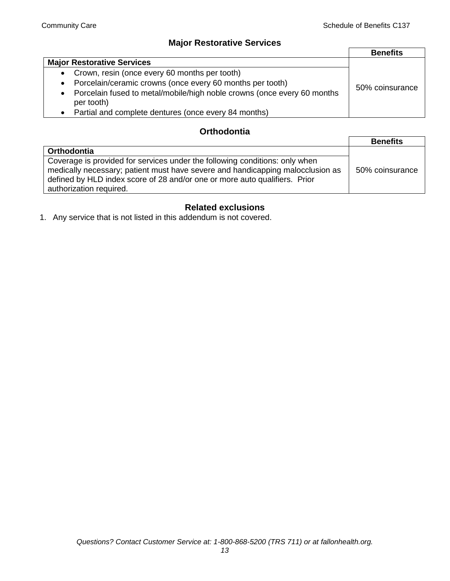# **Major Restorative Services**

|                                                                                                    | <b>Benefits</b> |
|----------------------------------------------------------------------------------------------------|-----------------|
| <b>Major Restorative Services</b>                                                                  |                 |
| Crown, resin (once every 60 months per tooth)<br>$\bullet$                                         |                 |
| Porcelain/ceramic crowns (once every 60 months per tooth)<br>$\bullet$                             | 50% coinsurance |
| Porcelain fused to metal/mobile/high noble crowns (once every 60 months<br>$\bullet$<br>per tooth) |                 |
| Partial and complete dentures (once every 84 months)                                               |                 |

## **Orthodontia**

|                                                                                                                                                                                                                                                                        | <b>Benefits</b> |
|------------------------------------------------------------------------------------------------------------------------------------------------------------------------------------------------------------------------------------------------------------------------|-----------------|
| <b>Orthodontia</b>                                                                                                                                                                                                                                                     |                 |
| Coverage is provided for services under the following conditions: only when<br>medically necessary; patient must have severe and handicapping malocclusion as<br>defined by HLD index score of 28 and/or one or more auto qualifiers. Prior<br>authorization required. | 50% coinsurance |

# **Related exclusions**

1. Any service that is not listed in this addendum is not covered.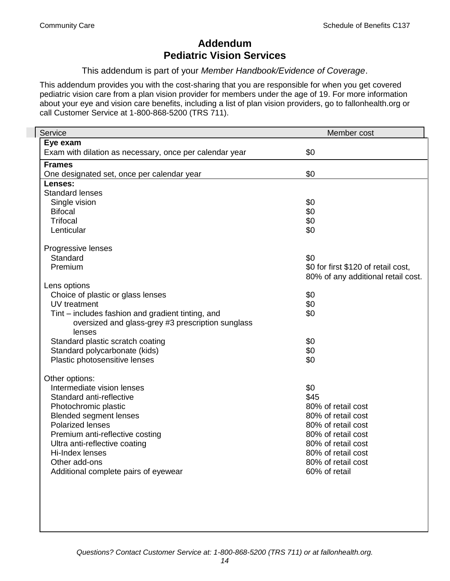# **Addendum Pediatric Vision Services**

This addendum is part of your *Member Handbook/Evidence of Coverage*.

This addendum provides you with the cost-sharing that you are responsible for when you get covered pediatric vision care from a plan vision provider for members under the age of 19. For more information about your eye and vision care benefits, including a list of plan vision providers, go to fallonhealth.org or call Customer Service at 1-800-868-5200 (TRS 711).

| <b>Service</b>                                                 | Member cost                         |
|----------------------------------------------------------------|-------------------------------------|
| Eye exam                                                       |                                     |
| Exam with dilation as necessary, once per calendar year        | \$0                                 |
| <b>Frames</b>                                                  |                                     |
| One designated set, once per calendar year                     | \$0                                 |
| Lenses:                                                        |                                     |
| <b>Standard lenses</b>                                         |                                     |
| Single vision                                                  | \$0                                 |
| <b>Bifocal</b><br><b>Trifocal</b>                              | \$0                                 |
| Lenticular                                                     | \$0<br>\$0                          |
|                                                                |                                     |
| Progressive lenses                                             |                                     |
| Standard                                                       | \$0                                 |
| Premium                                                        | \$0 for first \$120 of retail cost, |
|                                                                | 80% of any additional retail cost.  |
| Lens options                                                   |                                     |
| Choice of plastic or glass lenses                              | \$0                                 |
| UV treatment                                                   | \$0                                 |
| Tint – includes fashion and gradient tinting, and              | \$0                                 |
| oversized and glass-grey #3 prescription sunglass              |                                     |
| lenses                                                         |                                     |
| Standard plastic scratch coating                               | \$0<br>\$0                          |
| Standard polycarbonate (kids)<br>Plastic photosensitive lenses | \$0                                 |
|                                                                |                                     |
| Other options:                                                 |                                     |
| Intermediate vision lenses                                     | \$0                                 |
| Standard anti-reflective                                       | \$45                                |
| Photochromic plastic                                           | 80% of retail cost                  |
| <b>Blended segment lenses</b>                                  | 80% of retail cost                  |
| <b>Polarized lenses</b>                                        | 80% of retail cost                  |
| Premium anti-reflective costing                                | 80% of retail cost                  |
| Ultra anti-reflective coating                                  | 80% of retail cost                  |
| Hi-Index lenses                                                | 80% of retail cost                  |
| Other add-ons<br>Additional complete pairs of eyewear          | 80% of retail cost<br>60% of retail |
|                                                                |                                     |
|                                                                |                                     |
|                                                                |                                     |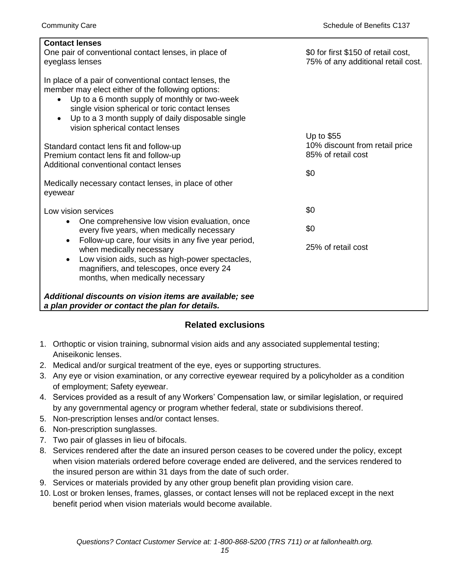| <b>Contact lenses</b>                                                         |                                     |
|-------------------------------------------------------------------------------|-------------------------------------|
| One pair of conventional contact lenses, in place of                          | \$0 for first \$150 of retail cost, |
| eyeglass lenses                                                               | 75% of any additional retail cost.  |
|                                                                               |                                     |
| In place of a pair of conventional contact lenses, the                        |                                     |
| member may elect either of the following options:                             |                                     |
| Up to a 6 month supply of monthly or two-week<br>$\bullet$                    |                                     |
| single vision spherical or toric contact lenses                               |                                     |
| Up to a 3 month supply of daily disposable single<br>$\bullet$                |                                     |
| vision spherical contact lenses                                               | Up to $$55$                         |
| Standard contact lens fit and follow-up                                       | 10% discount from retail price      |
| Premium contact lens fit and follow-up                                        | 85% of retail cost                  |
| Additional conventional contact lenses                                        |                                     |
|                                                                               | \$0                                 |
| Medically necessary contact lenses, in place of other                         |                                     |
| eyewear                                                                       |                                     |
|                                                                               |                                     |
| Low vision services                                                           | \$0                                 |
| One comprehensive low vision evaluation, once<br>$\bullet$                    |                                     |
| every five years, when medically necessary                                    | \$0                                 |
| Follow-up care, four visits in any five year period,<br>$\bullet$             | 25% of retail cost                  |
| when medically necessary                                                      |                                     |
| Low vision aids, such as high-power spectacles,<br>$\bullet$                  |                                     |
| magnifiers, and telescopes, once every 24<br>months, when medically necessary |                                     |
|                                                                               |                                     |
| Additional discounts on vision items are available; see                       |                                     |
| a plan provider or contact the plan for details.                              |                                     |

#### **Related exclusions**

- 1. Orthoptic or vision training, subnormal vision aids and any associated supplemental testing; Aniseikonic lenses.
- 2. Medical and/or surgical treatment of the eye, eyes or supporting structures.
- 3. Any eye or vision examination, or any corrective eyewear required by a policyholder as a condition of employment; Safety eyewear.
- 4. Services provided as a result of any Workers' Compensation law, or similar legislation, or required by any governmental agency or program whether federal, state or subdivisions thereof.
- 5. Non-prescription lenses and/or contact lenses.
- 6. Non-prescription sunglasses.
- 7. Two pair of glasses in lieu of bifocals.
- 8. Services rendered after the date an insured person ceases to be covered under the policy, except when vision materials ordered before coverage ended are delivered, and the services rendered to the insured person are within 31 days from the date of such order.
- 9. Services or materials provided by any other group benefit plan providing vision care.
- 10. Lost or broken lenses, frames, glasses, or contact lenses will not be replaced except in the next benefit period when vision materials would become available.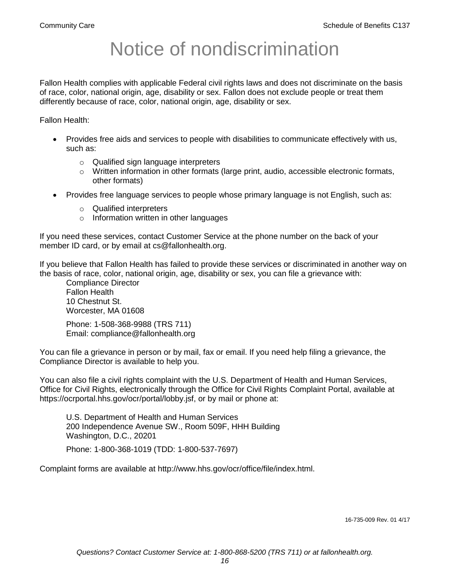# Notice of nondiscrimination

Fallon Health complies with applicable Federal civil rights laws and does not discriminate on the basis of race, color, national origin, age, disability or sex. Fallon does not exclude people or treat them differently because of race, color, national origin, age, disability or sex.

Fallon Health:

- Provides free aids and services to people with disabilities to communicate effectively with us, such as:
	- o Qualified sign language interpreters
	- $\circ$  Written information in other formats (large print, audio, accessible electronic formats, other formats)
- Provides free language services to people whose primary language is not English, such as:
	- o Qualified interpreters
	- o Information written in other languages

If you need these services, contact Customer Service at the phone number on the back of your member ID card, or by email at cs@fallonhealth.org.

If you believe that Fallon Health has failed to provide these services or discriminated in another way on the basis of race, color, national origin, age, disability or sex, you can file a grievance with:

Compliance Director Fallon Health 10 Chestnut St. Worcester, MA 01608

Phone: 1-508-368-9988 (TRS 711) Email: compliance@fallonhealth.org

You can file a grievance in person or by mail, fax or email. If you need help filing a grievance, the Compliance Director is available to help you.

You can also file a civil rights complaint with the U.S. Department of Health and Human Services, Office for Civil Rights, electronically through the Office for Civil Rights Complaint Portal, available at https://ocrportal.hhs.gov/ocr/portal/lobby.jsf, or by mail or phone at:

U.S. Department of Health and Human Services 200 Independence Avenue SW., Room 509F, HHH Building Washington, D.C., 20201

Phone: 1-800-368-1019 (TDD: 1-800-537-7697)

Complaint forms are available at http://www.hhs.gov/ocr/office/file/index.html.

16-735-009 Rev. 01 4/17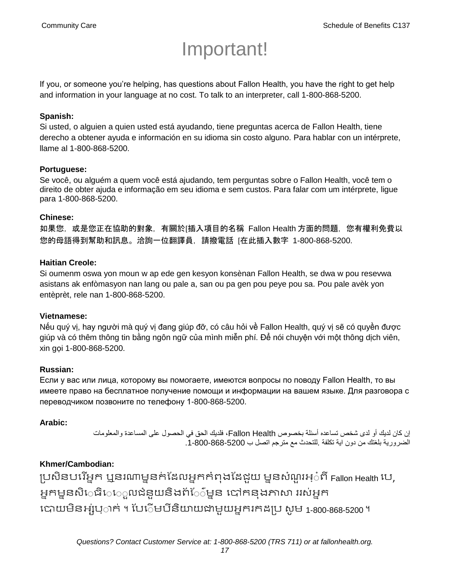# Important!

If you, or someone you're helping, has questions about Fallon Health, you have the right to get help and information in your language at no cost. To talk to an interpreter, call 1-800-868-5200.

#### **Spanish:**

Si usted, o alguien a quien usted está ayudando, tiene preguntas acerca de Fallon Health, tiene derecho a obtener ayuda e información en su idioma sin costo alguno. Para hablar con un intérprete, llame al 1-800-868-5200.

#### **Portuguese:**

Se você, ou alguém a quem você está ajudando, tem perguntas sobre o Fallon Health, você tem o direito de obter ajuda e informação em seu idioma e sem custos. Para falar com um intérprete, ligue para 1-800-868-5200.

#### **Chinese:**

如果您,或是您正在協助的對象,有關於[插入項目的名稱 Fallon Health 方面的問題,您有權利免費以 您的母語得到幫助和訊息。洽詢一位翻譯員,請撥電話 [在此插入數字 1-800-868-5200.

#### **Haitian Creole:**

Si oumenm oswa yon moun w ap ede gen kesyon konsènan Fallon Health, se dwa w pou resevwa asistans ak enfòmasyon nan lang ou pale a, san ou pa gen pou peye pou sa. Pou pale avèk yon entèprèt, rele nan 1-800-868-5200.

#### **Vietnamese:**

Nếu quý vị, hay người mà quý vị đang giúp đỡ, có câu hỏi về Fallon Health, quý vị sẽ có quyền được giúp và có thêm thông tin bằng ngôn ngữ của mình miễn phí. Để nói chuyện với một thông dịch viên, xin gọi 1-800-868-5200.

#### **Russian:**

Если у вас или лица, которому вы помогаете, имеются вопросы по поводу Fallon Health, то вы имеете право на бесплатное получение помощи и информации на вашем языке. Для разговора с переводчиком позвоните по телефону 1-800-868-5200.

#### **Arabic:**

إن كان لديك أو لدى شخص تساعده أسئلة بخصوص Health Fallon، فلديك الحق في الحصول على المساعدة والمعلومات الضرورية بلغتك من دون اية تكلفة .للتحدث مع مترجم اتصل ب .1-800-868-5200

#### **Khmer/Cambodian:**

ប្រសិនបរើអ្នក ឬនរណាម្ននក់ដែលអ្នកកំពុងដែជួយ ម្ននសំណួរអ្ូំពី Fallon Health រប, អ្នកម្មនសិ្រធិ្រេលជំនួយនិងព័្រ៍ម្នន បៅកនុងភាសា ររស់អ្នក រោយម្ិនអ្ស់រ្ំ ក់ ។ ដររំម្ រីនយាិ យជាម្ួយអ្នក កែប្រ សូ ម្ 1-800-868-5200 ។